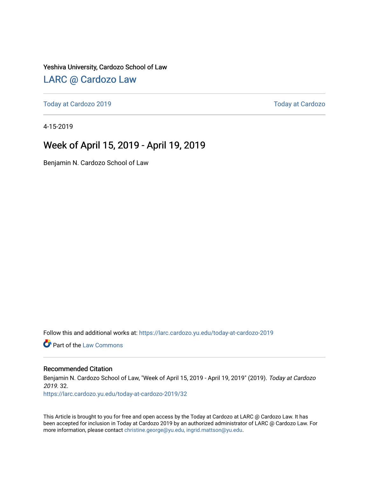Yeshiva University, Cardozo School of Law

## [LARC @ Cardozo Law](https://larc.cardozo.yu.edu/)

[Today at Cardozo 2019](https://larc.cardozo.yu.edu/today-at-cardozo-2019) [Today at Cardozo](https://larc.cardozo.yu.edu/today-at-cardozo) 

4-15-2019

## Week of April 15, 2019 - April 19, 2019

Benjamin N. Cardozo School of Law

Follow this and additional works at: [https://larc.cardozo.yu.edu/today-at-cardozo-2019](https://larc.cardozo.yu.edu/today-at-cardozo-2019?utm_source=larc.cardozo.yu.edu%2Ftoday-at-cardozo-2019%2F32&utm_medium=PDF&utm_campaign=PDFCoverPages)

**C** Part of the [Law Commons](http://network.bepress.com/hgg/discipline/578?utm_source=larc.cardozo.yu.edu%2Ftoday-at-cardozo-2019%2F32&utm_medium=PDF&utm_campaign=PDFCoverPages)

#### Recommended Citation

Benjamin N. Cardozo School of Law, "Week of April 15, 2019 - April 19, 2019" (2019). Today at Cardozo 2019. 32.

[https://larc.cardozo.yu.edu/today-at-cardozo-2019/32](https://larc.cardozo.yu.edu/today-at-cardozo-2019/32?utm_source=larc.cardozo.yu.edu%2Ftoday-at-cardozo-2019%2F32&utm_medium=PDF&utm_campaign=PDFCoverPages) 

This Article is brought to you for free and open access by the Today at Cardozo at LARC @ Cardozo Law. It has been accepted for inclusion in Today at Cardozo 2019 by an authorized administrator of LARC @ Cardozo Law. For more information, please contact [christine.george@yu.edu, ingrid.mattson@yu.edu](mailto:christine.george@yu.edu,%20ingrid.mattson@yu.edu).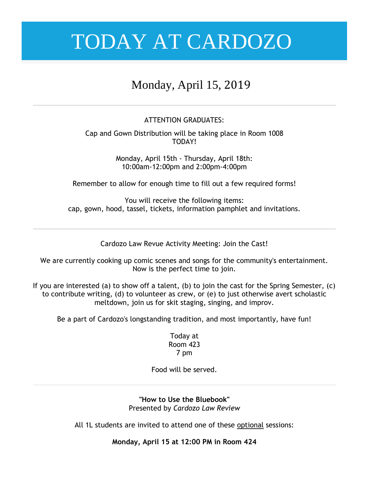# Monday, April 15, 2019

### ATTENTION GRADUATES:

Cap and Gown Distribution will be taking place in Room 1008 TODAY!

> Monday, April 15th - Thursday, April 18th: 10:00am-12:00pm and 2:00pm-4:00pm

Remember to allow for enough time to fill out a few required forms!

You will receive the following items: cap, gown, hood, tassel, tickets, information pamphlet and invitations.

Cardozo Law Revue Activity Meeting: Join the Cast!

We are currently cooking up comic scenes and songs for the community's entertainment. Now is the perfect time to join.

If you are interested (a) to show off a talent, (b) to join the cast for the Spring Semester, (c) to contribute writing, (d) to volunteer as crew, or (e) to just otherwise avert scholastic meltdown, join us for skit staging, singing, and improv.

Be a part of Cardozo's longstanding tradition, and most importantly, have fun!

Today at Room 423 7 pm

Food will be served.

**"How to Use the Bluebook"** Presented by *Cardozo Law Review*

All 1L students are invited to attend one of these optional sessions:

**Monday, April 15 at 12:00 PM in Room 424**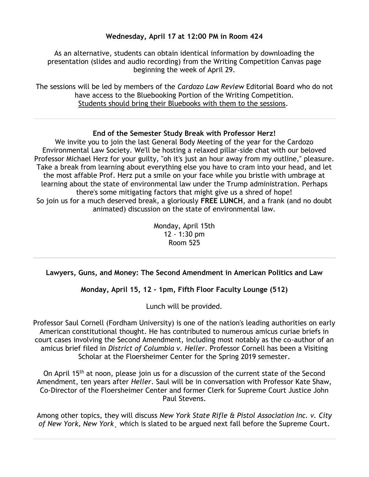### **Wednesday, April 17 at 12:00 PM in Room 424**

As an alternative, students can obtain identical information by downloading the presentation (slides and audio recording) from the Writing Competition Canvas page beginning the week of April 29.

The sessions will be led by members of the *Cardozo Law Review* Editorial Board who do not have access to the Bluebooking Portion of the Writing Competition. Students should bring their Bluebooks with them to the sessions.

### **End of the Semester Study Break with Professor Herz!**

We invite you to join the last General Body Meeting of the year for the Cardozo Environmental Law Society. We'll be hosting a relaxed pillar-side chat with our beloved Professor Michael Herz for your guilty, "oh it's just an hour away from my outline," pleasure. Take a break from learning about everything else you have to cram into your head, and let the most affable Prof. Herz put a smile on your face while you bristle with umbrage at learning about the state of environmental law under the Trump administration. Perhaps there's some mitigating factors that might give us a shred of hope! So join us for a much deserved break, a gloriously **FREE LUNCH**, and a frank (and no doubt animated) discussion on the state of environmental law.

> Monday, April 15th 12 - 1:30 pm Room 525

## **Lawyers, Guns, and Money: The Second Amendment in American Politics and Law**

## **Monday, April 15, 12 - 1pm, Fifth Floor Faculty Lounge (512)**

Lunch will be provided.

Professor Saul Cornell (Fordham University) is one of the nation's leading authorities on early American constitutional thought. He has contributed to numerous amicus curiae briefs in court cases involving the Second Amendment, including most notably as the co-author of an amicus brief filed in *District of Columbia v. Heller*. Professor Cornell has been a Visiting Scholar at the Floersheimer Center for the Spring 2019 semester.

On April 15<sup>th</sup> at noon, please join us for a discussion of the current state of the Second Amendment, ten years after *Heller*. Saul will be in conversation with Professor Kate Shaw, Co-Director of the Floersheimer Center and former Clerk for Supreme Court Justice John Paul Stevens.

Among other topics, they will discuss *New York State Rifle & Pistol Association Inc. v. City of New York, New York*¸ which is slated to be argued next fall before the Supreme Court*.*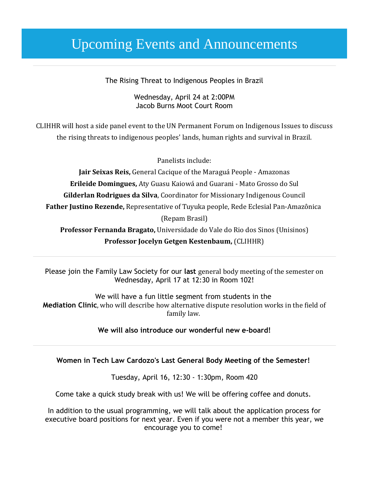# Upcoming Events and Announcements

The Rising Threat to Indigenous Peoples in Brazil

Wednesday, April 24 at 2:00PM Jacob Burns Moot Court Room

CLIHHR will host a side panel event to the UN Permanent Forum on Indigenous Issues to discuss the rising threats to indigenous peoples' lands, human rights and survival in Brazil.

Panelists include:

**Jair Seixas Reis,** General Cacique of the Maraguá People - Amazonas **Erileide Domingues,** Aty Guasu Kaiowá and Guarani - Mato Grosso do Sul **Gilderlan Rodrigues da Silva**, Coordinator for Missionary Indigenous Council **Father Justino Rezende,** Representative of Tuyuka people, Rede Eclesial Pan-Amazônica (Repam Brasil) **Professor Fernanda Bragato,** Universidade do Vale do Rio dos Sinos (Unisinos)

**Professor Jocelyn Getgen Kestenbaum,** (CLIHHR)

Please join the Family Law Society for our **last** general body meeting of the semester on Wednesday, April 17 at 12:30 in Room 102!

We will have a fun little segment from students in the **Mediation Clinic**, who will describe how alternative dispute resolution works in the field of family law.

**We will also introduce our wonderful new e-board!**

### **Women in Tech Law Cardozo's Last General Body Meeting of the Semester!**

Tuesday, April 16, 12:30 - 1:30pm, Room 420

Come take a quick study break with us! We will be offering coffee and donuts.

In addition to the usual programming, we will talk about the application process for executive board positions for next year. Even if you were not a member this year, we encourage you to come!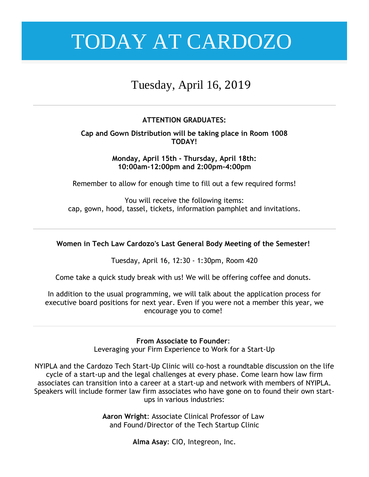# Tuesday, April 16, 2019

## **ATTENTION GRADUATES:**

### **Cap and Gown Distribution will be taking place in Room 1008 TODAY!**

**Monday, April 15th - Thursday, April 18th: 10:00am-12:00pm and 2:00pm-4:00pm**

Remember to allow for enough time to fill out a few required forms!

You will receive the following items: cap, gown, hood, tassel, tickets, information pamphlet and invitations.

### **Women in Tech Law Cardozo's Last General Body Meeting of the Semester!**

Tuesday, April 16, 12:30 - 1:30pm, Room 420

Come take a quick study break with us! We will be offering coffee and donuts.

In addition to the usual programming, we will talk about the application process for executive board positions for next year. Even if you were not a member this year, we encourage you to come!

### **From Associate to Founder**:

Leveraging your Firm Experience to Work for a Start-Up

NYIPLA and the Cardozo Tech Start-Up Clinic will co-host a roundtable discussion on the life cycle of a start-up and the legal challenges at every phase. Come learn how law firm associates can transition into a career at a start-up and network with members of NYIPLA. Speakers will include former law firm associates who have gone on to found their own startups in various industries:

> **Aaron Wright**: Associate Clinical Professor of Law and Found/Director of the Tech Startup Clinic

> > **Alma Asay**: CIO, Integreon, Inc.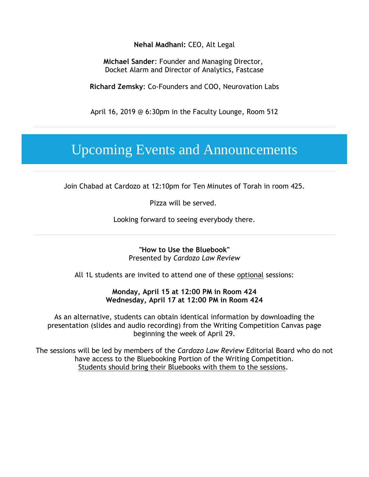### **Nehal Madhani:** CEO, Alt Legal

**Michael Sander**: Founder and Managing Director, Docket Alarm and Director of Analytics, Fastcase

**Richard Zemsky**: Co-Founders and COO, Neurovation Labs

April 16, 2019 @ 6:30pm in the Faculty Lounge, Room 512

# Upcoming Events and Announcements

Join Chabad at Cardozo at 12:10pm for Ten Minutes of Torah in room 425.

Pizza will be served.

Looking forward to seeing everybody there.

**"How to Use the Bluebook"** Presented by *Cardozo Law Review*

All 1L students are invited to attend one of these optional sessions:

#### **Monday, April 15 at 12:00 PM in Room 424 Wednesday, April 17 at 12:00 PM in Room 424**

As an alternative, students can obtain identical information by downloading the presentation (slides and audio recording) from the Writing Competition Canvas page beginning the week of April 29.

The sessions will be led by members of the *Cardozo Law Review* Editorial Board who do not have access to the Bluebooking Portion of the Writing Competition. Students should bring their Bluebooks with them to the sessions.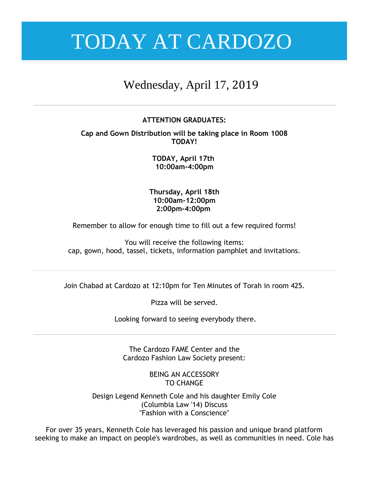# Wednesday, April 17, 2019

### **ATTENTION GRADUATES:**

**Cap and Gown Distribution will be taking place in Room 1008 TODAY!**

> **TODAY, April 17th 10:00am-4:00pm**

**Thursday, April 18th 10:00am-12:00pm 2:00pm-4:00pm**

Remember to allow for enough time to fill out a few required forms!

You will receive the following items: cap, gown, hood, tassel, tickets, information pamphlet and invitations.

Join Chabad at Cardozo at 12:10pm for Ten Minutes of Torah in room 425.

Pizza will be served.

Looking forward to seeing everybody there.

The Cardozo FAME Center and the Cardozo Fashion Law Society present:

> BEING AN ACCESSORY TO CHANGE

Design Legend Kenneth Cole and his daughter Emily Cole (Columbia Law '14) Discuss "Fashion with a Conscience"

For over 35 years, Kenneth Cole has leveraged his passion and unique brand platform seeking to make an impact on people's wardrobes, as well as communities in need. Cole has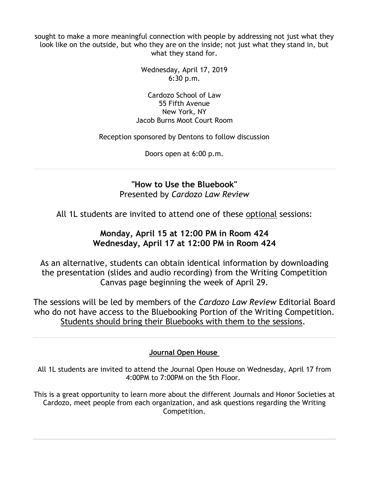sought to make a more meaningful connection with people by addressing not just what they look like on the outside, but who they are on the inside; not just what they stand in, but what they stand for.

> Wednesday, April 17, 2019 6:30 p.m.

Cardozo School of Law 55 Fifth Avenue New York, NY Jacob Burns Moot Court Room

Reception sponsored by Dentons to follow discussion

Doors open at 6:00 p.m.

**"How to Use the Bluebook"** Presented by *Cardozo Law Review*

All 1L students are invited to attend one of these optional sessions:

## **Monday, April 15 at 12:00 PM in Room 424 Wednesday, April 17 at 12:00 PM in Room 424**

As an alternative, students can obtain identical information by downloading the presentation (slides and audio recording) from the Writing Competition Canvas page beginning the week of April 29.

The sessions will be led by members of the *Cardozo Law Review* Editorial Board who do not have access to the Bluebooking Portion of the Writing Competition. Students should bring their Bluebooks with them to the sessions.

## **Journal Open House**

All 1L students are invited to attend the Journal Open House on Wednesday, April 17 from 4:00PM to 7:00PM on the 5th Floor.

This is a great opportunity to learn more about the different Journals and Honor Societies at Cardozo, meet people from each organization, and ask questions regarding the Writing Competition.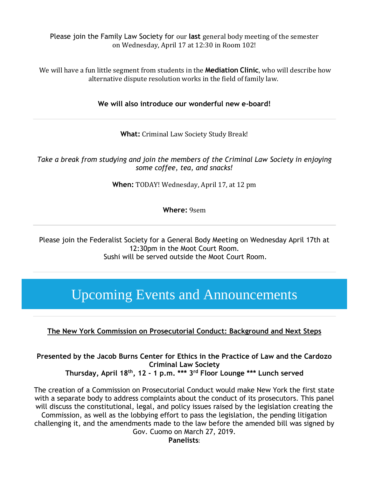Please join the Family Law Society for our **last** general body meeting of the semester on Wednesday, April 17 at 12:30 in Room 102!

We will have a fun little segment from students in the **Mediation Clinic**, who will describe how alternative dispute resolution works in the field of family law.

**We will also introduce our wonderful new e-board!**

**What:** Criminal Law Society Study Break!

*Take a break from studying and join the members of the Criminal Law Society in enjoying some coffee, tea, and snacks!*

**When:** TODAY! Wednesday, April 17, at 12 pm

**Where:** 9sem

Please join the Federalist Society for a General Body Meeting on Wednesday April 17th at 12:30pm in the Moot Court Room. Sushi will be served outside the Moot Court Room.

# Upcoming Events and Announcements

## **The New York Commission on Prosecutorial Conduct: Background and Next Steps**

**Presented by the Jacob Burns Center for Ethics in the Practice of Law and the Cardozo Criminal Law Society Thursday, April 18th, 12 - 1 p.m. \*\*\* 3rd Floor Lounge \*\*\* Lunch served**

The creation of a Commission on Prosecutorial Conduct would make New York the first state with a separate body to address complaints about the conduct of its prosecutors. This panel will discuss the constitutional, legal, and policy issues raised by the legislation creating the

Commission, as well as the lobbying effort to pass the legislation, the pending litigation challenging it, and the amendments made to the law before the amended bill was signed by Gov. Cuomo on March 27, 2019.

**Panelists**: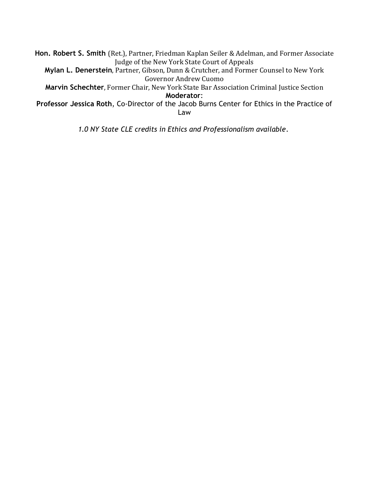**Hon. Robert S. Smith** (Ret.), Partner, Friedman Kaplan Seiler & Adelman, and Former Associate Judge of the New York State Court of Appeals

**Mylan L. Denerstein**, Partner, Gibson, Dunn & Crutcher, and Former Counsel to New York Governor Andrew Cuomo

**Marvin Schechter**, Former Chair, New York State Bar Association Criminal Justice Section **Moderator**:

**Professor Jessica Roth**, Co-Director of the Jacob Burns Center for Ethics in the Practice of Law

*1.0 NY State CLE credits in Ethics and Professionalism available*.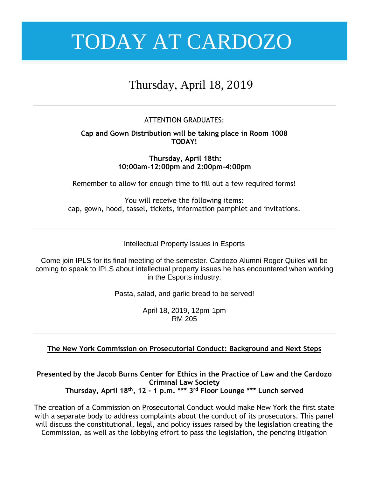# Thursday, April 18, 2019

### ATTENTION GRADUATES:

### **Cap and Gown Distribution will be taking place in Room 1008 TODAY!**

**Thursday, April 18th: 10:00am-12:00pm and 2:00pm-4:00pm**

Remember to allow for enough time to fill out a few required forms!

You will receive the following items: cap, gown, hood, tassel, tickets, information pamphlet and invitations.

Intellectual Property Issues in Esports

Come join IPLS for its final meeting of the semester. Cardozo Alumni Roger Quiles will be coming to speak to IPLS about intellectual property issues he has encountered when working in the Esports industry.

Pasta, salad, and garlic bread to be served!

April 18, 2019, 12pm-1pm RM 205

### **The New York Commission on Prosecutorial Conduct: Background and Next Steps**

**Presented by the Jacob Burns Center for Ethics in the Practice of Law and the Cardozo Criminal Law Society Thursday, April 18th, 12 - 1 p.m. \*\*\* 3rd Floor Lounge \*\*\* Lunch served**

The creation of a Commission on Prosecutorial Conduct would make New York the first state with a separate body to address complaints about the conduct of its prosecutors. This panel will discuss the constitutional, legal, and policy issues raised by the legislation creating the Commission, as well as the lobbying effort to pass the legislation, the pending litigation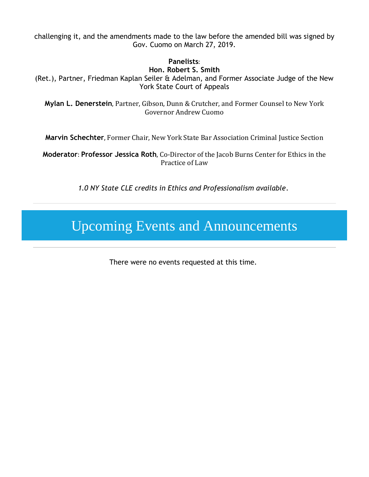challenging it, and the amendments made to the law before the amended bill was signed by Gov. Cuomo on March 27, 2019.

### **Panelists**:

#### **Hon. Robert S. Smith**

(Ret.), Partner, Friedman Kaplan Seiler & Adelman, and Former Associate Judge of the New York State Court of Appeals

**Mylan L. Denerstein**, Partner, Gibson, Dunn & Crutcher, and Former Counsel to New York Governor Andrew Cuomo

**Marvin Schechter**, Former Chair, New York State Bar Association Criminal Justice Section

**Moderator**: **Professor Jessica Roth**, Co-Director of the Jacob Burns Center for Ethics in the Practice of Law

*1.0 NY State CLE credits in Ethics and Professionalism available*.

# Upcoming Events and Announcements

There were no events requested at this time.